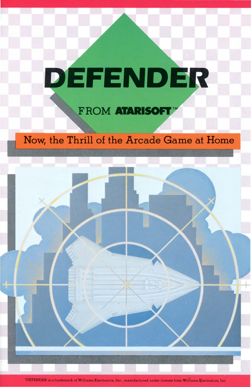# DEFENDER

### FROM ATARISOFT<sup>W</sup>

### Now, the Thrill of the Arcade Game at Home

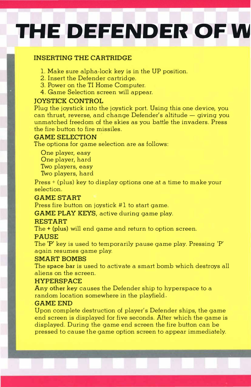## **THE DEFENDER OF W**

#### INSERTING THE CARTRIDGE

- 1. Make sure alpha-lock key is in the UP position.
- 2. Insert the Defender cartridge.
- 3. Power on the TI Home Computer.
- 4. Game Selection screen will appear.

#### JOYSTICK CONTRO�

Plug the joystick into the joystick port. Using this one device, you can thrust, reverse, and change Defender's altitude  $-$  giving you unmatched freedom of the skies as you battle the invaders. Press the fire button to fire missiles.

#### GAME SELECTION

The options for game selection are as follows:

One player, easy One player, hard Two players, easy Two players, hard

Press + (plus) key to display options one at a time to make your selection.

#### GAME START

Press fire button on joystick #1 to start game.

GAME PLAY KEYS, active during game play.

#### RESTART

The + **(plus)** will end game and return to option screen.

#### PAUSE

The 'P' key is used to temporarily pause game play. Pressing 'P' again resumes game play.

#### SMART BOMBS

The **space bar** is used to activate a smart bomb which destroys all aliens on the screen.

#### **HYPERSPACE**

Any other key causes the Defender ship to hyperspace to a random location somewhere in the playfield .

#### . GAME END

Upon complete destruction of player's Defender ships, the game end screen is displayed for five seconds. After which the game is displayed. During the game end screen the fire button can be pressed to cause the game option screen to appear immediately.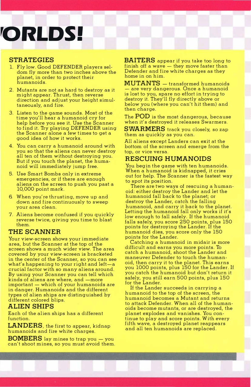### **'0RLDS!**

#### **STRATEGIES**

- **1. Fly low. Good DEFENDER players seldom fly more than two inches above the planet, in order to protect their humanoids.**
- **2. Mutants are not as hard to destroy as it might appear. Thrust, then reverse direction and adjust your height simultaneously, and fire.**
- **3. Listen to the game sounds. Most of the time you'll hear a humanoid cry for help before you see it. Use the Scanner to find it. Try playing DEFENDER using the Scanner alone a few times to get a good idea of how it works.**
- **4. You can carry a humanoid around with you so that the aliens can never destroy all ten of them without destroying you. But if you touch the planet, the humanoid will immediately jump free.**
- **5. Use Smart Bombs only in extreme emergencies, or** if **there are enough aliens on the screen to push you past a 10,000 point mark.**
- **6 When you're thrusting, move up and down and fire continuously to sweep your area clean.**
- **7. Aliens become confused** if **you quickly reverse twice, giving you time to blast them.**

#### **THE SCANNER**

**Your view-screen shows your immediate area, but the Scanner at the top of the screen shows a much wider view. The area covered by your view-screen is bracketed in the center of the Scanner, so you can see what's happening to your right and left-a crucial factor with so many aliens around. By using your Scanner you can tell which**  kinds of aliens are where, and -more important - which of your humanoids are **in danger. Humanoids and the different types of alien ships are distinguished by different colored blips.** 

#### **ALIEN SHIPS**

**Each of the alien ships has a different function.** 

**LANDERS, the first to appear, kidnap humanoids and fire white charges.** 

**BOMBERS lay mines to trap you - you can't shoot mines, so you must avoid them.** 

**BAITERS appear if you take too long to**  finish off a wave - they move faster than **Defender and fire white charges as they home in on him.** 

**MUTANTS - transformed humanoids - are very dangerous. Once a humanoid is lost to you, spare no effort in trying to destroy it. They'll fly directly above or below you (where you can't hit them) and then charge.** 

**The POD is the most dangerous, because when it's destroyed it releases Swarmers.** 

**SWARMERS track you closely, so zap them as quickly as you can.** 

**All aliens except Landers can exit at the bottom of the screen and emerge from the top, or vice versa.** 

#### **RESCUING HUMANOIDS**

**You begin the game with ten humanoids. When a humanoid is kidnapped, it cries out for help. The Scanner is the fastest way to spot its position.** 

**There are two ways of rescuing a humanoid: either destroy the Lander and let the humanoid fall back to the planet; or destroy the Lander, catch the falling humanoid, and carry it back to the planet. Letting the humanoid fall only works if it's low enough to fall safely.** If **the humanoid falls safely, you score 250 points, plus 150 points for destroying the Lander.** If **the humanoid dies, you score only the 150 points for the Lander.** 

**Catching a humanoid in midair is more difficult and earns you more points. To catch a humanoid, shoot the Lander and maneuver Defender to touch the humanoid, then carry it to the planet. This earns you 1000 points, plus 150 for the Lander.** If **you catch the humanoid but don't return it safely, you still earn 500 points, plus 150 for the Lander.** 

If **the Lander succeeds in carrying a humanoid to the top of the screen, the humanoid becomes a Mutant and returns to attack Defender. When all of the humanoids become mutants, or are destroyed, the planet explodes and vanishes. You continue to play and score points. With every fifth wave, a destroyed planet reappears and all ten humanoids are replaced.**